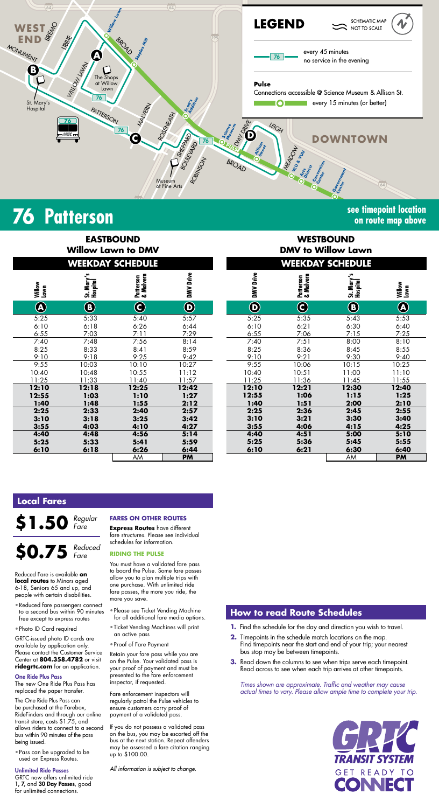

# **76 Patterson see timepoint location**

# **on route map above**

| <b>EASTBOUND</b><br><b>Willow Lawn to DMV</b> |                        |                                   |                         |  |  |  |
|-----------------------------------------------|------------------------|-----------------------------------|-------------------------|--|--|--|
| <b>WEEKDAY SCHEDULE</b>                       |                        |                                   |                         |  |  |  |
| Willow<br>Lawn                                | St. Mary's<br>Hospital | Malvern<br>Patterson<br>& Malvern | DMV Drive               |  |  |  |
| $\widehat{\textbf{A}}$                        | $\bigcirc$             | O                                 | $\overline{\mathbf{D}}$ |  |  |  |
| 5:25                                          | 5:33                   | 5:40                              | 5:57                    |  |  |  |
| 6:10                                          | 6:18                   | 6:26                              | 6:44                    |  |  |  |
| 6:55                                          | 7:03                   | 7:11                              | 7:29                    |  |  |  |
| 7:40                                          | 7:48                   | 7:56                              | 8:14                    |  |  |  |
| 8:25                                          | 8:33                   | 8:41                              | 8:59                    |  |  |  |
| 9:10                                          | 9:18                   | 9:25                              | 9:42                    |  |  |  |
| 9:55                                          | 10:03                  | 10:10                             | 10:27                   |  |  |  |
| 10:40                                         | 10:48                  | 10:55                             | 11:12                   |  |  |  |
| 11:25                                         | 11:33                  | 11:40                             | 11:57                   |  |  |  |
| 12:10                                         | 12:18                  | 12:25                             | 12:42                   |  |  |  |
| 12:55                                         | 1:03                   | 1:10                              | 1:27                    |  |  |  |
| 1:40                                          | 1:48                   | 1:55                              | 2:12                    |  |  |  |
| 2:25                                          | 2:33                   | 2:40                              | 2:57                    |  |  |  |
| 3:10                                          | 3:18                   | 3:25                              | 3:42                    |  |  |  |
| 3:55                                          | 4:03                   | 4:10                              | 4:27                    |  |  |  |
| 4:40                                          | 4:48                   | 4:56                              | 5:14                    |  |  |  |
| 5:25                                          | 5:33                   | 5:41                              | 5:59                    |  |  |  |
| 6:10                                          | 6:18                   | 6:26                              | 6:44                    |  |  |  |
|                                               |                        | AM                                | <b>PM</b>               |  |  |  |

| <b>EASTBOUND</b><br><b>WESTBOUND</b><br><b>DMV to Willow Lawn</b><br><b>Willow Lawn to DMV</b><br><b>WEEKDAY SCHEDULE</b><br><b>WEEKDAY SCHEDULE</b><br>DMV Drive<br>DMV Drive<br>Patterson<br>& Malvern<br>Patterson<br>& Malvern<br>St. Mary's<br>Hospital<br>St. Mary'<br>Hospital<br>Lawn<br>$\bf \Phi$<br>$\bf{O}$<br>$\bigcirc$<br>$\boldsymbol{\Theta}$<br>$\mathbf{\copyright}$<br>$\bigcirc$<br>5:25<br>5:33<br>5:57<br>5:35<br>5:43<br>5:40<br>6:26<br>6:10<br>6:21<br>6:30<br>6:18<br>6:44<br>7:29<br>7:03<br>7:11<br>6:55<br>7:06<br>7:15<br>7:40<br>7:51<br>8:00<br>7:56<br>8:14<br>7:48<br>8:33<br>8:41<br>8:59<br>8:25<br>8:36<br>8:45<br>9:18<br>9:25<br>9:42<br>9:10<br>9:21<br>9:30<br>9:55<br>10:27<br>10:06<br>10:15<br>10:03<br>10:10<br>10:48<br>10:55<br>11:12<br>10:51<br>10:40<br>11:00<br>11:33<br>11:40<br>11:57<br>11:25<br>11:36<br>11:45<br>12:21<br>12:30<br>12:18<br>12:10<br>12:25<br>12:42<br>1:03<br>1:10<br>1:27<br>12:55<br>1:06<br>1:15<br>1:55<br>2:12<br>1:51<br>1:48<br>1:40<br>2:00<br>2:33<br>2:25<br>2:36<br>2:40<br>2:57<br>2:45<br>3:18<br>3:25<br>3:42<br>3:10<br>3:21<br>3:30 |                                   |      |      |      |      |      |      |      |
|-------------------------------------------------------------------------------------------------------------------------------------------------------------------------------------------------------------------------------------------------------------------------------------------------------------------------------------------------------------------------------------------------------------------------------------------------------------------------------------------------------------------------------------------------------------------------------------------------------------------------------------------------------------------------------------------------------------------------------------------------------------------------------------------------------------------------------------------------------------------------------------------------------------------------------------------------------------------------------------------------------------------------------------------------------------------------------------------------------------------------------|-----------------------------------|------|------|------|------|------|------|------|
| Willow<br>$\bigcirc$<br>5:25<br>6:10<br>6:55<br>7:40<br>8:25<br>9:10<br>9:55<br>0:40<br>1:25<br>2:10<br>2:55<br>1:40<br>2:25<br>3:10                                                                                                                                                                                                                                                                                                                                                                                                                                                                                                                                                                                                                                                                                                                                                                                                                                                                                                                                                                                          |                                   |      |      |      |      |      |      |      |
|                                                                                                                                                                                                                                                                                                                                                                                                                                                                                                                                                                                                                                                                                                                                                                                                                                                                                                                                                                                                                                                                                                                               |                                   |      |      |      |      |      |      |      |
|                                                                                                                                                                                                                                                                                                                                                                                                                                                                                                                                                                                                                                                                                                                                                                                                                                                                                                                                                                                                                                                                                                                               | Willow<br>Lawn                    |      |      |      |      |      |      |      |
|                                                                                                                                                                                                                                                                                                                                                                                                                                                                                                                                                                                                                                                                                                                                                                                                                                                                                                                                                                                                                                                                                                                               | $\bigcircledA$                    |      |      |      |      |      |      |      |
|                                                                                                                                                                                                                                                                                                                                                                                                                                                                                                                                                                                                                                                                                                                                                                                                                                                                                                                                                                                                                                                                                                                               | 5:53<br>6:40<br>7:25<br>8:10      |      |      |      |      |      |      |      |
|                                                                                                                                                                                                                                                                                                                                                                                                                                                                                                                                                                                                                                                                                                                                                                                                                                                                                                                                                                                                                                                                                                                               | 8:55<br>9:40                      |      |      |      |      |      |      |      |
|                                                                                                                                                                                                                                                                                                                                                                                                                                                                                                                                                                                                                                                                                                                                                                                                                                                                                                                                                                                                                                                                                                                               | 10:25<br>11:10<br>11:55           |      |      |      |      |      |      |      |
|                                                                                                                                                                                                                                                                                                                                                                                                                                                                                                                                                                                                                                                                                                                                                                                                                                                                                                                                                                                                                                                                                                                               | 12:40<br>1:25<br>2:10             |      |      |      |      |      |      |      |
|                                                                                                                                                                                                                                                                                                                                                                                                                                                                                                                                                                                                                                                                                                                                                                                                                                                                                                                                                                                                                                                                                                                               | 2:55<br>3:40<br>4:25              | 4:15 | 4:06 | 3:55 | 4:27 | 4:10 | 4:03 | 3:55 |
| 4:40<br>5:14<br>4:48<br>4:56<br>4:40<br>4:51<br>5:00<br>5:25<br>5:25<br>5:33<br>5:41<br>5:59<br>5:36<br>5:45<br>6:10<br>6:26<br>6:10<br>6:18<br>6:44<br>6:21<br>6:30<br>AM<br>AM<br><b>PM</b>                                                                                                                                                                                                                                                                                                                                                                                                                                                                                                                                                                                                                                                                                                                                                                                                                                                                                                                                 | 5:10<br>5:55<br>6:40<br><b>PM</b> |      |      |      |      |      |      |      |

### **Local Fares**



Reduced Fare is available **on local routes** to Minors aged 6-18, Seniors 65 and up, and people with certain disabilities.

- Reduced fare passengers connect to a second bus within 90 minutes free except to express routes
- Photo ID Card required

GRTC-issued photo ID cards are vailable by application only Please contact the Customer Service Center at **804.358.4782** or visit **ridegrtc.com** for an application.

#### One Ride Plus Pass

The new One Ride Plus Pass has replaced the paper transfer.

The One Ride Plus Pass can be purchased at the Farebox, RideFinders and through our online transit store, costs \$1.75, and allows riders to connect to a second bus within 90 minutes of the pass being issued.

• Pass can be upgraded to be used on Express Routes.

#### Unlimited Ride Passes

GRTC now offers unlimited ride 1, 7, and 30 Day Passes, good for unlimited connections.

#### **FARES ON OTHER ROUTES**

**Express Routes** have different fare structures. Please see individual schedules for information.

#### **RIDING THE PULSE**

You must have a validated fare pass to board the Pulse. Some fare passes allow you to plan multiple trips with one purchase. With unlimited ride fare passes, the more you ride, the more you save.

- Please see Ticket Vending Machine for all additional fare media options.
- Ticket Vending Machines will print an active pass
- Proof of Fare Payment

Retain your fare pass while you are on the Pulse. Your validated pass is your proof of payment and must be presented to the fare enforcement inspector, if requested.

Fare enforcement inspectors will regularly patrol the Pulse vehicles to ensure customers carry proof of payment of a validated pass.

If you do not possess a validated pass on the bus, you may be escorted off the bus at the next station. Repeat offenders may be assessed a fare citation ranging up to \$100.00.

*All information is subject to change.*

### **How to read Route Schedules**

- **1.** Find the schedule for the day and direction you wish to travel.
- **2.** Timepoints in the schedule match locations on the map. Find timepoints near the start and end of your trip;  $\mathsf y$ bus stop may be between timepoints.
- **3.** Read down the columns to see when trips serve each timepoint. Read across to see when each trip arrives at other timepoints.

*Times shown are approximate. Traffic and weather may cause actual times to vary. Please allow ample time to complete your trip.*